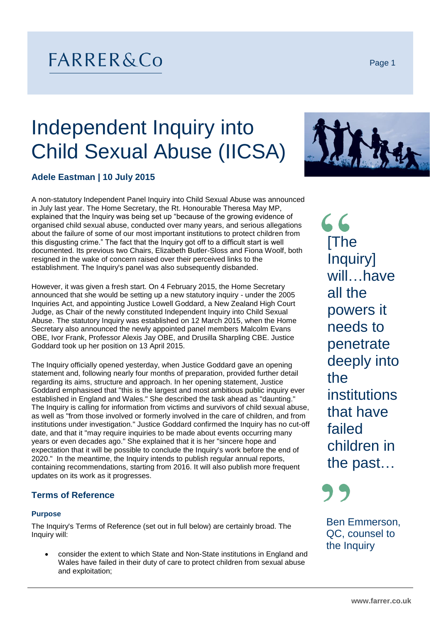# FARRER&Co

Page 1

# Independent Inquiry into Child Sexual Abuse (IICSA)



# **Adele Eastman | 10 July 2015**

A non-statutory Independent Panel Inquiry into Child Sexual Abuse was announced in July last year. The Home Secretary, the Rt. Honourable Theresa May MP, explained that the Inquiry was being set up "because of the growing evidence of organised child sexual abuse, conducted over many years, and serious allegations about the failure of some of our most important institutions to protect children from this disgusting crime." The fact that the Inquiry got off to a difficult start is well documented. Its previous two Chairs, Elizabeth Butler-Sloss and Fiona Woolf, both resigned in the wake of concern raised over their perceived links to the establishment. The Inquiry's panel was also subsequently disbanded.

However, it was given a fresh start. On 4 February 2015, the Home Secretary announced that she would be setting up a new statutory inquiry - under the 2005 Inquiries Act, and appointing Justice Lowell Goddard, a New Zealand High Court Judge, as Chair of the newly constituted Independent Inquiry into Child Sexual Abuse. The statutory Inquiry was established on 12 March 2015, when the Home Secretary also announced the newly appointed panel members Malcolm Evans OBE, Ivor Frank, Professor Alexis Jay OBE, and Drusilla Sharpling CBE. Justice Goddard took up her position on 13 April 2015.

The Inquiry officially opened yesterday, when Justice Goddard gave an opening statement and, following nearly four months of preparation, provided further detail regarding its aims, structure and approach. In her opening statement, Justice Goddard emphasised that "this is the largest and most ambitious public inquiry ever established in England and Wales." She described the task ahead as "daunting." The Inquiry is calling for information from victims and survivors of child sexual abuse, as well as "from those involved or formerly involved in the care of children, and from institutions under investigation." Justice Goddard confirmed the Inquiry has no cut-off date, and that it "may require inquiries to be made about events occurring many years or even decades ago." She explained that it is her "sincere hope and expectation that it will be possible to conclude the Inquiry's work before the end of 2020." In the meantime, the Inquiry intends to publish regular annual reports, containing recommendations, starting from 2016. It will also publish more frequent updates on its work as it progresses.

## **Terms of Reference**

### **Purpose**

The Inquiry's Terms of Reference (set out in full below) are certainly broad. The Inquiry will:

 consider the extent to which State and Non-State institutions in England and Wales have failed in their duty of care to protect children from sexual abuse and exploitation;

66 [The Inquiry] will…have all the powers it needs to penetrate deeply into the institutions that have failed children in the past…

Ben Emmerson, QC, counsel to the Inquiry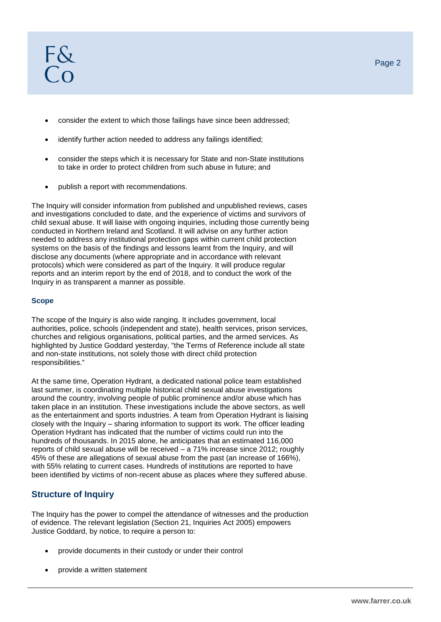- consider the extent to which those failings have since been addressed;
- identify further action needed to address any failings identified;
- consider the steps which it is necessary for State and non-State institutions to take in order to protect children from such abuse in future; and
- publish a report with recommendations.

The Inquiry will consider information from published and unpublished reviews, cases and investigations concluded to date, and the experience of victims and survivors of child sexual abuse. It will liaise with ongoing inquiries, including those currently being conducted in Northern Ireland and Scotland. It will advise on any further action needed to address any institutional protection gaps within current child protection systems on the basis of the findings and lessons learnt from the Inquiry, and will disclose any documents (where appropriate and in accordance with relevant protocols) which were considered as part of the Inquiry. It will produce regular reports and an interim report by the end of 2018, and to conduct the work of the Inquiry in as transparent a manner as possible.

#### **Scope**

The scope of the Inquiry is also wide ranging. It includes government, local authorities, police, schools (independent and state), health services, prison services, churches and religious organisations, political parties, and the armed services. As highlighted by Justice Goddard yesterday, "the Terms of Reference include all state and non-state institutions, not solely those with direct child protection responsibilities."

At the same time, Operation Hydrant, a dedicated national police team established last summer, is coordinating multiple historical child sexual abuse investigations around the country, involving people of public prominence and/or abuse which has taken place in an institution. These investigations include the above sectors, as well as the entertainment and sports industries. A team from Operation Hydrant is liaising closely with the Inquiry – sharing information to support its work. The officer leading Operation Hydrant has indicated that the number of victims could run into the hundreds of thousands. In 2015 alone, he anticipates that an estimated 116,000 reports of child sexual abuse will be received – a 71% increase since 2012; roughly 45% of these are allegations of sexual abuse from the past (an increase of 166%), with 55% relating to current cases. Hundreds of institutions are reported to have been identified by victims of non-recent abuse as places where they suffered abuse.

# **Structure of Inquiry**

The Inquiry has the power to compel the attendance of witnesses and the production of evidence. The relevant legislation (Section 21, Inquiries Act 2005) empowers Justice Goddard, by notice, to require a person to:

- provide documents in their custody or under their control
- provide a written statement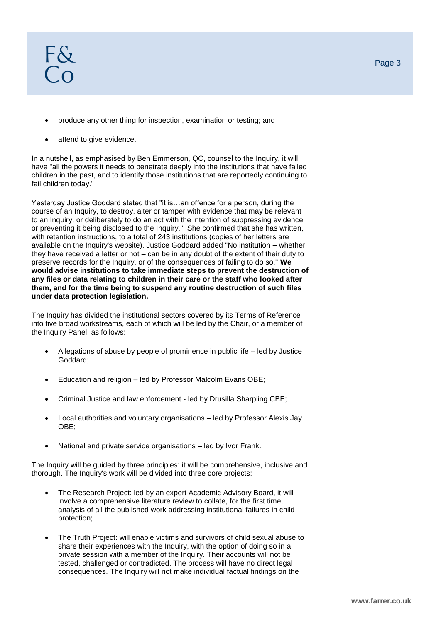- produce any other thing for inspection, examination or testing; and
- attend to give evidence.

In a nutshell, as emphasised by Ben Emmerson, QC, counsel to the Inquiry, it will have "all the powers it needs to penetrate deeply into the institutions that have failed children in the past, and to identify those institutions that are reportedly continuing to fail children today."

Yesterday Justice Goddard stated that "it is…an offence for a person, during the course of an Inquiry, to destroy, alter or tamper with evidence that may be relevant to an Inquiry, or deliberately to do an act with the intention of suppressing evidence or preventing it being disclosed to the Inquiry." She confirmed that she has written, with retention instructions, to a total of 243 institutions (copies of her letters are available on the Inquiry's website). Justice Goddard added "No institution – whether they have received a letter or not – can be in any doubt of the extent of their duty to preserve records for the Inquiry, or of the consequences of failing to do so." **We would advise institutions to take immediate steps to prevent the destruction of any files or data relating to children in their care or the staff who looked after them, and for the time being to suspend any routine destruction of such files under data protection legislation.** 

The Inquiry has divided the institutional sectors covered by its Terms of Reference into five broad workstreams, each of which will be led by the Chair, or a member of the Inquiry Panel, as follows:

- Allegations of abuse by people of prominence in public life led by Justice Goddard;
- Education and religion led by Professor Malcolm Evans OBE;
- Criminal Justice and law enforcement led by Drusilla Sharpling CBE;
- Local authorities and voluntary organisations led by Professor Alexis Jay OBE;
- National and private service organisations led by Ivor Frank.

The Inquiry will be guided by three principles: it will be comprehensive, inclusive and thorough. The Inquiry's work will be divided into three core projects:

- The Research Project: led by an expert Academic Advisory Board, it will involve a comprehensive literature review to collate, for the first time, analysis of all the published work addressing institutional failures in child protection;
- The Truth Project: will enable victims and survivors of child sexual abuse to share their experiences with the Inquiry, with the option of doing so in a private session with a member of the Inquiry. Their accounts will not be tested, challenged or contradicted. The process will have no direct legal consequences. The Inquiry will not make individual factual findings on the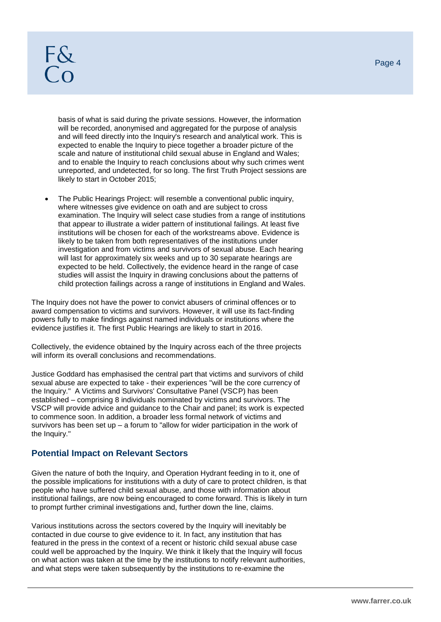# F&  $\overline{C}$

basis of what is said during the private sessions. However, the information will be recorded, anonymised and aggregated for the purpose of analysis and will feed directly into the Inquiry's research and analytical work. This is expected to enable the Inquiry to piece together a broader picture of the scale and nature of institutional child sexual abuse in England and Wales; and to enable the Inquiry to reach conclusions about why such crimes went unreported, and undetected, for so long. The first Truth Project sessions are likely to start in October 2015;

 The Public Hearings Project: will resemble a conventional public inquiry, where witnesses give evidence on oath and are subject to cross examination. The Inquiry will select case studies from a range of institutions that appear to illustrate a wider pattern of institutional failings. At least five institutions will be chosen for each of the workstreams above. Evidence is likely to be taken from both representatives of the institutions under investigation and from victims and survivors of sexual abuse. Each hearing will last for approximately six weeks and up to 30 separate hearings are expected to be held. Collectively, the evidence heard in the range of case studies will assist the Inquiry in drawing conclusions about the patterns of child protection failings across a range of institutions in England and Wales.

The Inquiry does not have the power to convict abusers of criminal offences or to award compensation to victims and survivors. However, it will use its fact-finding powers fully to make findings against named individuals or institutions where the evidence justifies it. The first Public Hearings are likely to start in 2016.

Collectively, the evidence obtained by the Inquiry across each of the three projects will inform its overall conclusions and recommendations.

Justice Goddard has emphasised the central part that victims and survivors of child sexual abuse are expected to take - their experiences "will be the core currency of the Inquiry." A Victims and Survivors' Consultative Panel (VSCP) has been established – comprising 8 individuals nominated by victims and survivors. The VSCP will provide advice and guidance to the Chair and panel; its work is expected to commence soon. In addition, a broader less formal network of victims and survivors has been set up  $-$  a forum to "allow for wider participation in the work of the Inquiry."

# **Potential Impact on Relevant Sectors**

Given the nature of both the Inquiry, and Operation Hydrant feeding in to it, one of the possible implications for institutions with a duty of care to protect children, is that people who have suffered child sexual abuse, and those with information about institutional failings, are now being encouraged to come forward. This is likely in turn to prompt further criminal investigations and, further down the line, claims.

Various institutions across the sectors covered by the Inquiry will inevitably be contacted in due course to give evidence to it. In fact, any institution that has featured in the press in the context of a recent or historic child sexual abuse case could well be approached by the Inquiry. We think it likely that the Inquiry will focus on what action was taken at the time by the institutions to notify relevant authorities, and what steps were taken subsequently by the institutions to re-examine the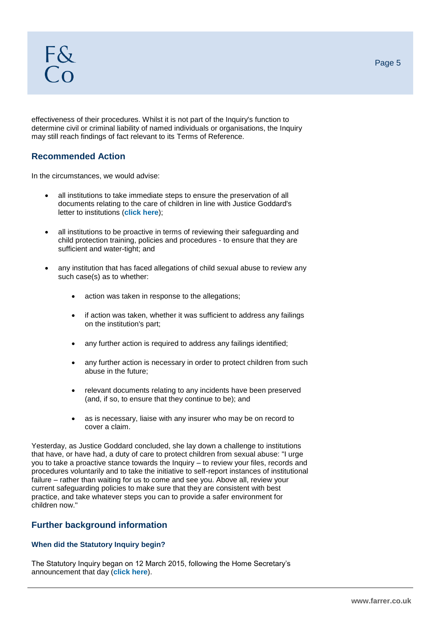effectiveness of their procedures. Whilst it is not part of the Inquiry's function to determine civil or criminal liability of named individuals or organisations, the Inquiry may still reach findings of fact relevant to its Terms of Reference.

## **Recommended Action**

In the circumstances, we would advise:

- all institutions to take immediate steps to ensure the preservation of all documents relating to the care of children in line with Justice Goddard's letter to institutions (**[click here](https://www.csa-inquiry.independent.gov.uk/news/chair-of-the-inquiry-issues-guidance-on-destruction-of-documents)**);
- all institutions to be proactive in terms of reviewing their safeguarding and child protection training, policies and procedures - to ensure that they are sufficient and water-tight; and
- any institution that has faced allegations of child sexual abuse to review any such case(s) as to whether:
	- action was taken in response to the allegations;
	- if action was taken, whether it was sufficient to address any failings on the institution's part;
	- any further action is required to address any failings identified;
	- any further action is necessary in order to protect children from such abuse in the future;
	- relevant documents relating to any incidents have been preserved (and, if so, to ensure that they continue to be); and
	- as is necessary, liaise with any insurer who may be on record to cover a claim.

Yesterday, as Justice Goddard concluded, she lay down a challenge to institutions that have, or have had, a duty of care to protect children from sexual abuse: "I urge you to take a proactive stance towards the Inquiry – to review your files, records and procedures voluntarily and to take the initiative to self-report instances of institutional failure – rather than waiting for us to come and see you. Above all, review your current safeguarding policies to make sure that they are consistent with best practice, and take whatever steps you can to provide a safer environment for children now."

# **Further background information**

## **When did the Statutory Inquiry begin?**

The Statutory Inquiry began on 12 March 2015, following the Home Secretary's announcement that day (**[click here](http://www.parliament.uk/business/publications/written-questions-answers-statements/written-statement/Commons/2015-03-12/HCWS371/)**).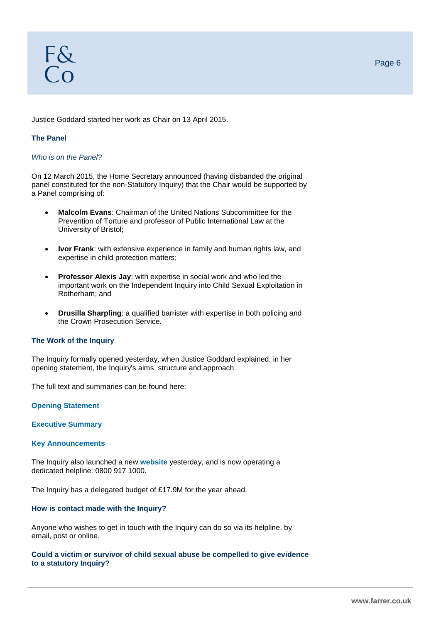Justice Goddard started her work as Chair on 13 April 2015.

## **The Panel**

#### *Who is on the Panel?*

On 12 March 2015, the Home Secretary announced (having disbanded the original panel constituted for the non-Statutory Inquiry) that the Chair would be supported by a Panel comprising of:

- **Malcolm Evans**: Chairman of the United Nations Subcommittee for the Prevention of Torture and professor of Public International Law at the University of Bristol;
- **Ivor Frank**: with extensive experience in family and human rights law, and expertise in child protection matters;
- **Professor Alexis Jay**: with expertise in social work and who led the important work on the Independent Inquiry into Child Sexual Exploitation in Rotherham; and
- **Drusilla Sharpling**: a qualified barrister with expertise in both policing and the Crown Prosecution Service.

### **The Work of the Inquiry**

The Inquiry formally opened yesterday, when Justice Goddard explained, in her opening statement, the Inquiry's aims, structure and approach.

The full text and summaries can be found here:

**[Opening Statement](https://www.csa-inquiry.independent.gov.uk/sites/default/files/inquiry-opening-statement.pdf)**

**[Executive Summary](https://www.csa-inquiry.independent.gov.uk/sites/default/files/inquiry-executive-summary.pdf)**

#### **[Key Announcements](https://www.csa-inquiry.independent.gov.uk/sites/default/files/opening-statement-key-announcements.pdf)**

The Inquiry also launched a new **[website](https://www.csa-inquiry.independent.gov.uk/)** yesterday, and is now operating a dedicated helpline: 0800 917 1000.

The Inquiry has a delegated budget of £17.9M for the year ahead.

## **How is contact made with the Inquiry?**

Anyone who wishes to get in touch with the Inquiry can do so via its helpline, by email, post or online.

#### **Could a victim or survivor of child sexual abuse be compelled to give evidence to a statutory Inquiry?**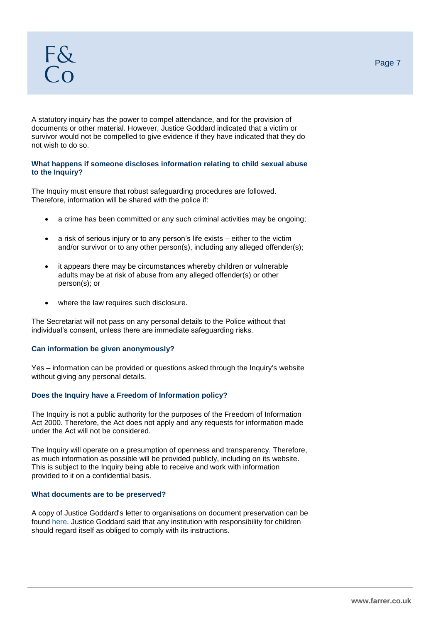A statutory inquiry has the power to compel attendance, and for the provision of documents or other material. However, Justice Goddard indicated that a victim or survivor would not be compelled to give evidence if they have indicated that they do not wish to do so.

### **What happens if someone discloses information relating to child sexual abuse to the Inquiry?**

The Inquiry must ensure that robust safeguarding procedures are followed. Therefore, information will be shared with the police if:

- a crime has been committed or any such criminal activities may be ongoing;
- a risk of serious injury or to any person's life exists either to the victim and/or survivor or to any other person(s), including any alleged offender(s);
- it appears there may be circumstances whereby children or vulnerable adults may be at risk of abuse from any alleged offender(s) or other person(s); or
- where the law requires such disclosure.

The Secretariat will not pass on any personal details to the Police without that individual's consent, unless there are immediate safeguarding risks.

#### **Can information be given anonymously?**

Yes – information can be provided or questions asked through the Inquiry's website without giving any personal details.

#### **Does the Inquiry have a Freedom of Information policy?**

The Inquiry is not a public authority for the purposes of the Freedom of Information Act 2000. Therefore, the Act does not apply and any requests for information made under the Act will not be considered.

The Inquiry will operate on a presumption of openness and transparency. Therefore, as much information as possible will be provided publicly, including on its website. This is subject to the Inquiry being able to receive and work with information provided to it on a confidential basis.

#### **What documents are to be preserved?**

A copy of Justice Goddard's letter to organisations on document preservation can be found [here.](https://www.csa-inquiry.independent.gov.uk/news/chair-of-the-inquiry-issues-guidance-on-destruction-of-documents) Justice Goddard said that any institution with responsibility for children should regard itself as obliged to comply with its instructions.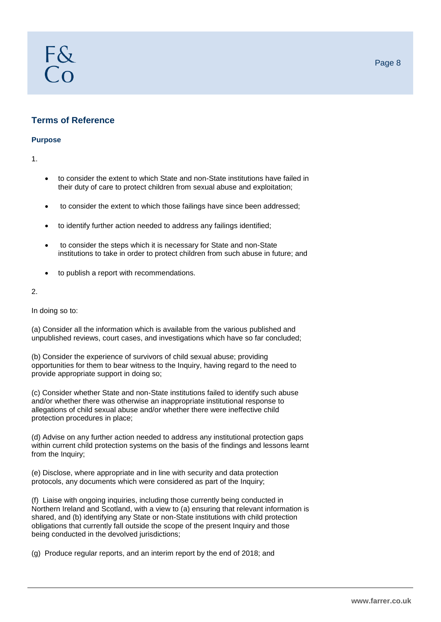# **Terms of Reference**

F&  $\overline{C}$ 

#### **Purpose**

1.

- to consider the extent to which State and non-State institutions have failed in their duty of care to protect children from sexual abuse and exploitation;
- to consider the extent to which those failings have since been addressed;
- to identify further action needed to address any failings identified;
- to consider the steps which it is necessary for State and non-State institutions to take in order to protect children from such abuse in future; and
- to publish a report with recommendations.

#### 2.

In doing so to:

(a) Consider all the information which is available from the various published and unpublished reviews, court cases, and investigations which have so far concluded;

(b) Consider the experience of survivors of child sexual abuse; providing opportunities for them to bear witness to the Inquiry, having regard to the need to provide appropriate support in doing so;

(c) Consider whether State and non-State institutions failed to identify such abuse and/or whether there was otherwise an inappropriate institutional response to allegations of child sexual abuse and/or whether there were ineffective child protection procedures in place;

(d) Advise on any further action needed to address any institutional protection gaps within current child protection systems on the basis of the findings and lessons learnt from the Inquiry:

(e) Disclose, where appropriate and in line with security and data protection protocols, any documents which were considered as part of the Inquiry;

(f) Liaise with ongoing inquiries, including those currently being conducted in Northern Ireland and Scotland, with a view to (a) ensuring that relevant information is shared, and (b) identifying any State or non-State institutions with child protection obligations that currently fall outside the scope of the present Inquiry and those being conducted in the devolved jurisdictions;

(g) Produce regular reports, and an interim report by the end of 2018; and